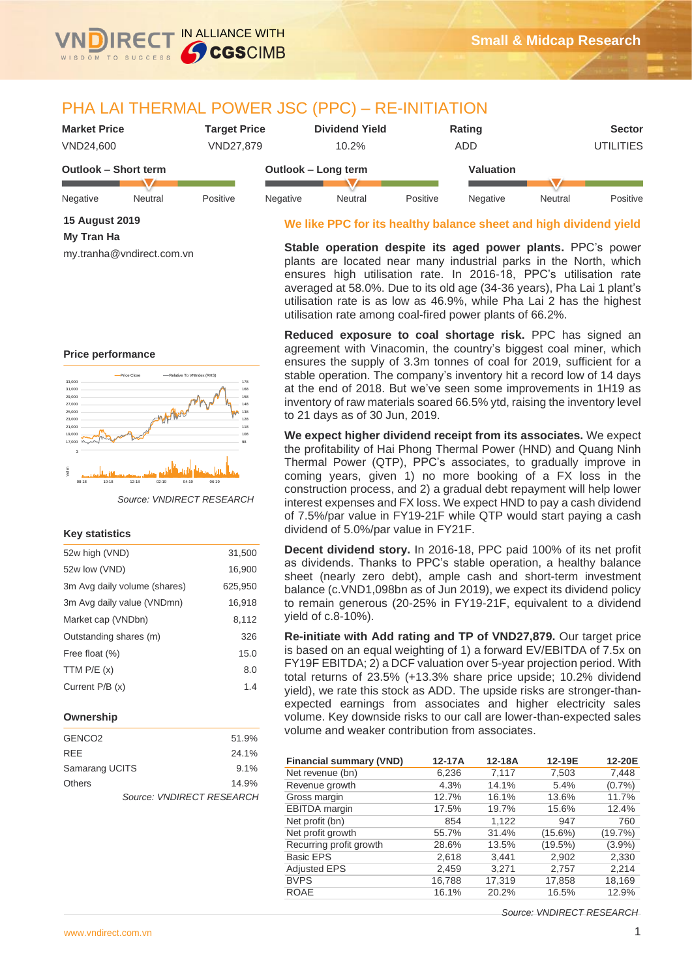

## PHA LAI THERMAL POWER JSC (PPC) – RE-INITIATION

| <b>Market Price</b>  |         | <b>Target Price</b> |                     | <b>Dividend Yield</b> |          | Rating     |         | <b>Sector</b>    |
|----------------------|---------|---------------------|---------------------|-----------------------|----------|------------|---------|------------------|
| VND24.600            |         | VND27.879           |                     | 10.2%                 |          | <b>ADD</b> |         | <b>UTILITIES</b> |
| Outlook – Short term |         |                     | Outlook - Long term |                       |          | Valuation  |         |                  |
| Negative             | Neutral | Positive            | Negative            | Neutral               | Positive | Negative   | Neutral | Positive         |

### **15 August 2019 My Tran Ha**

my.tranha@vndirect.com.vn

#### **We like PPC for its healthy balance sheet and high dividend yield**

**Stable operation despite its aged power plants.** PPC's power plants are located near many industrial parks in the North, which ensures high utilisation rate. In 2016-18, PPC's utilisation rate averaged at 58.0%. Due to its old age (34-36 years), Pha Lai 1 plant's utilisation rate is as low as 46.9%, while Pha Lai 2 has the highest utilisation rate among coal-fired power plants of 66.2%.

**Reduced exposure to coal shortage risk.** PPC has signed an agreement with Vinacomin, the country's biggest coal miner, which ensures the supply of 3.3m tonnes of coal for 2019, sufficient for a stable operation. The company's inventory hit a record low of 14 days at the end of 2018. But we've seen some improvements in 1H19 as inventory of raw materials soared 66.5% ytd, raising the inventory level to 21 days as of 30 Jun, 2019.

**We expect higher dividend receipt from its associates.** We expect the profitability of Hai Phong Thermal Power (HND) and Quang Ninh Thermal Power (QTP), PPC's associates, to gradually improve in coming years, given 1) no more booking of a FX loss in the construction process, and 2) a gradual debt repayment will help lower interest expenses and FX loss. We expect HND to pay a cash dividend of 7.5%/par value in FY19-21F while QTP would start paying a cash dividend of 5.0%/par value in FY21F.

**Decent dividend story.** In 2016-18, PPC paid 100% of its net profit as dividends. Thanks to PPC's stable operation, a healthy balance sheet (nearly zero debt), ample cash and short-term investment balance (c.VND1,098bn as of Jun 2019), we expect its dividend policy to remain generous (20-25% in FY19-21F, equivalent to a dividend yield of c.8-10%).

**Re-initiate with Add rating and TP of VND27,879.** Our target price is based on an equal weighting of 1) a forward EV/EBITDA of 7.5x on FY19F EBITDA; 2) a DCF valuation over 5-year projection period. With total returns of 23.5% (+13.3% share price upside; 10.2% dividend yield), we rate this stock as ADD. The upside risks are stronger-thanexpected earnings from associates and higher electricity sales volume. Key downside risks to our call are lower-than-expected sales volume and weaker contribution from associates.

| <b>Financial summary (VND)</b> | 12-17A | 12-18A | 12-19E     | 12-20E    |
|--------------------------------|--------|--------|------------|-----------|
| Net revenue (bn)               | 6,236  | 7,117  | 7,503      | 7,448     |
| Revenue growth                 | 4.3%   | 14.1%  | 5.4%       | (0.7%     |
| Gross margin                   | 12.7%  | 16.1%  | 13.6%      | 11.7%     |
| <b>EBITDA</b> margin           | 17.5%  | 19.7%  | 15.6%      | 12.4%     |
| Net profit (bn)                | 854    | 1,122  | 947        | 760       |
| Net profit growth              | 55.7%  | 31.4%  | $(15.6\%)$ | (19.7%)   |
| Recurring profit growth        | 28.6%  | 13.5%  | (19.5%)    | $(3.9\%)$ |
| <b>Basic EPS</b>               | 2,618  | 3,441  | 2,902      | 2,330     |
| <b>Adjusted EPS</b>            | 2,459  | 3,271  | 2,757      | 2,214     |
| <b>BVPS</b>                    | 16,788 | 17,319 | 17,858     | 18,169    |
| <b>ROAE</b>                    | 16.1%  | 20.2%  | 16.5%      | 12.9%     |

**Price performance**



#### **Key statistics**

| 52w high (VND)               | 31,500  |
|------------------------------|---------|
| 52w low (VND)                | 16,900  |
| 3m Avg daily volume (shares) | 625,950 |
| 3m Avg daily value (VNDmn)   | 16,918  |
| Market cap (VNDbn)           | 8,112   |
| Outstanding shares (m)       | 326     |
| Free float (%)               | 15.0    |
| TTM $P/E(x)$                 | 8.0     |
| Current P/B (x)              | 1.4     |
|                              |         |

#### **Ownership**

| GENCO <sub>2</sub> |                           | 51.9% |
|--------------------|---------------------------|-------|
| <b>REE</b>         |                           | 24.1% |
| Samarang UCITS     |                           | 9.1%  |
| <b>Others</b>      |                           | 14.9% |
|                    | Source: VNDIRECT RESEARCH |       |

*Source: VNDIRECT RESEARCH*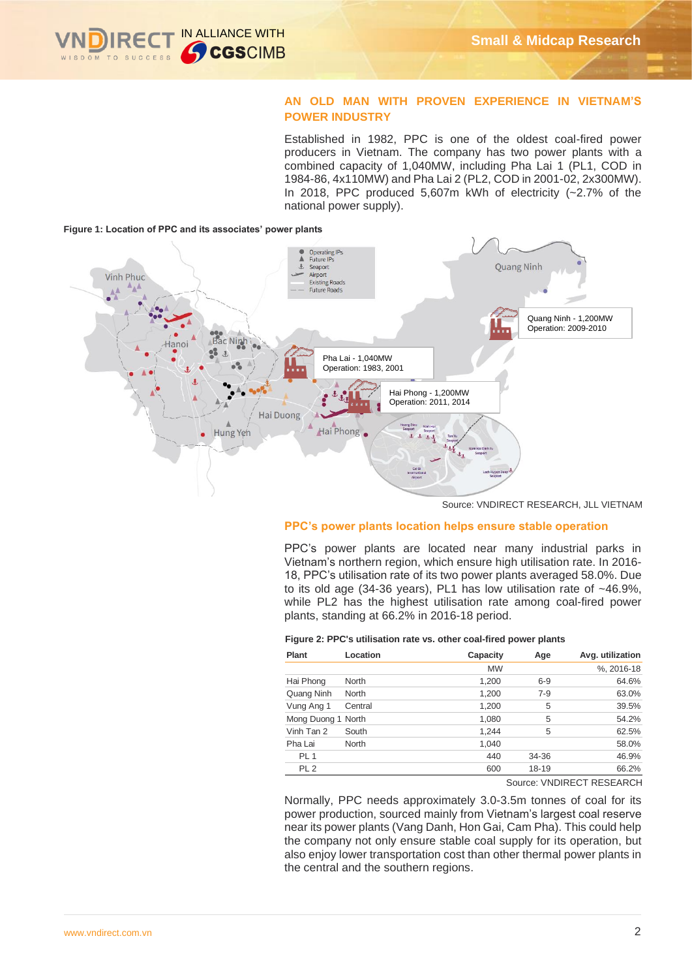

#### **AN OLD MAN WITH PROVEN EXPERIENCE IN VIETNAM'S POWER INDUSTRY**

Established in 1982, PPC is one of the oldest coal-fired power producers in Vietnam. The company has two power plants with a combined capacity of 1,040MW, including Pha Lai 1 (PL1, COD in 1984-86, 4x110MW) and Pha Lai 2 (PL2, COD in 2001-02, 2x300MW). In 2018, PPC produced 5,607m kWh of electricity (~2.7% of the national power supply).





Source: VNDIRECT RESEARCH, JLL VIETNAM

#### **PPC's power plants location helps ensure stable operation**

PPC's power plants are located near many industrial parks in Vietnam's northern region, which ensure high utilisation rate. In 2016- 18, PPC's utilisation rate of its two power plants averaged 58.0%. Due to its old age (34-36 years), PL1 has low utilisation rate of ~46.9%, while PL2 has the highest utilisation rate among coal-fired power plants, standing at 66.2% in 2016-18 period.

#### **Figure 2: PPC's utilisation rate vs. other coal-fired power plants**

| <b>Plant</b>       | Location     | Capacity  | Age     | Avg. utilization |
|--------------------|--------------|-----------|---------|------------------|
|                    |              | <b>MW</b> |         | %, 2016-18       |
| Hai Phong          | <b>North</b> | 1,200     | $6-9$   | 64.6%            |
| Quang Ninh         | <b>North</b> | 1,200     | $7 - 9$ | 63.0%            |
| Vung Ang 1         | Central      | 1,200     | 5       | 39.5%            |
| Mong Duong 1 North |              | 1,080     | 5       | 54.2%            |
| Vinh Tan 2         | South        | 1.244     | 5       | 62.5%            |
| Pha Lai            | <b>North</b> | 1.040     |         | 58.0%            |
| PL <sub>1</sub>    |              | 440       | 34-36   | 46.9%            |
| PL <sub>2</sub>    |              | 600       | 18-19   | 66.2%            |

Source: VNDIRECT RESEARCH

Normally, PPC needs approximately 3.0-3.5m tonnes of coal for its power production, sourced mainly from Vietnam's largest coal reserve near its power plants (Vang Danh, Hon Gai, Cam Pha). This could help the company not only ensure stable coal supply for its operation, but also enjoy lower transportation cost than other thermal power plants in the central and the southern regions.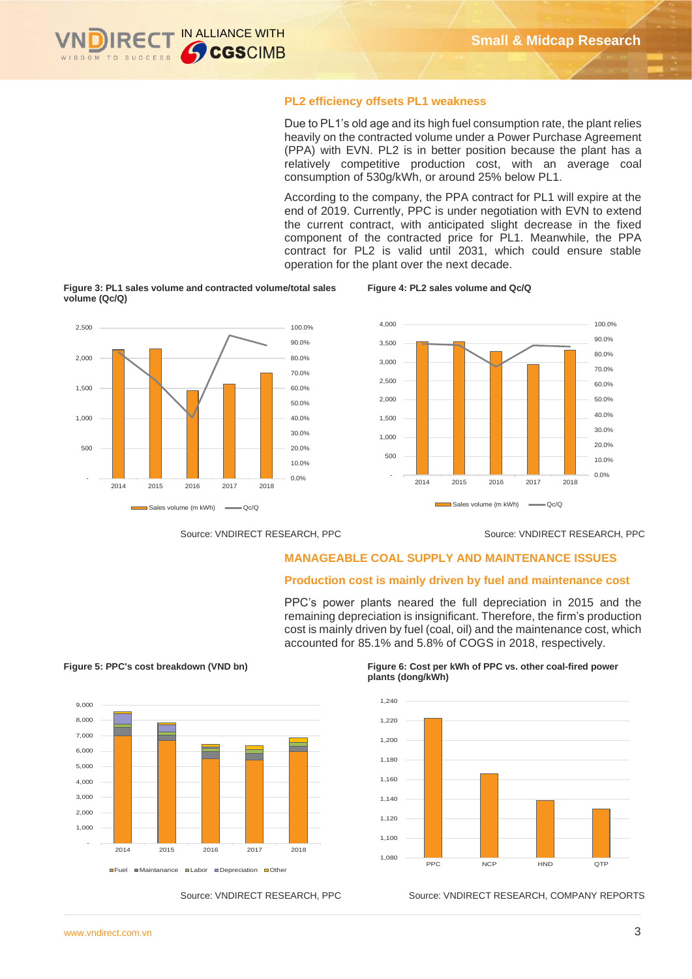

#### **PL2 efficiency offsets PL1 weakness**

Due to PL1's old age and its high fuel consumption rate, the plant relies heavily on the contracted volume under a Power Purchase Agreement (PPA) with EVN. PL2 is in better position because the plant has a relatively competitive production cost, with an average coal consumption of 530g/kWh, or around 25% below PL1.

According to the company, the PPA contract for PL1 will expire at the end of 2019. Currently, PPC is under negotiation with EVN to extend the current contract, with anticipated slight decrease in the fixed component of the contracted price for PL1. Meanwhile, the PPA contract for PL2 is valid until 2031, which could ensure stable operation for the plant over the next decade.

**Figure 4: PL2 sales volume and Qc/Q** 

#### **Figure 3: PL1 sales volume and contracted volume/total sales volume (Qc/Q)**



Source: VNDIRECT RESEARCH, PPC Source: VNDIRECT RESEARCH, PPC

#### **MANAGEABLE COAL SUPPLY AND MAINTENANCE ISSUES**

#### **Production cost is mainly driven by fuel and maintenance cost**

PPC's power plants neared the full depreciation in 2015 and the remaining depreciation is insignificant. Therefore, the firm's production cost is mainly driven by fuel (coal, oil) and the maintenance cost, which accounted for 85.1% and 5.8% of COGS in 2018, respectively.



**Figure 5: PPC's cost breakdown (VND bn) Figure 6: Cost per kWh of PPC vs. other coal-fired power plants (dong/kWh)**



Source: VNDIRECT RESEARCH, PPC Source: VNDIRECT RESEARCH, COMPANY REPORTS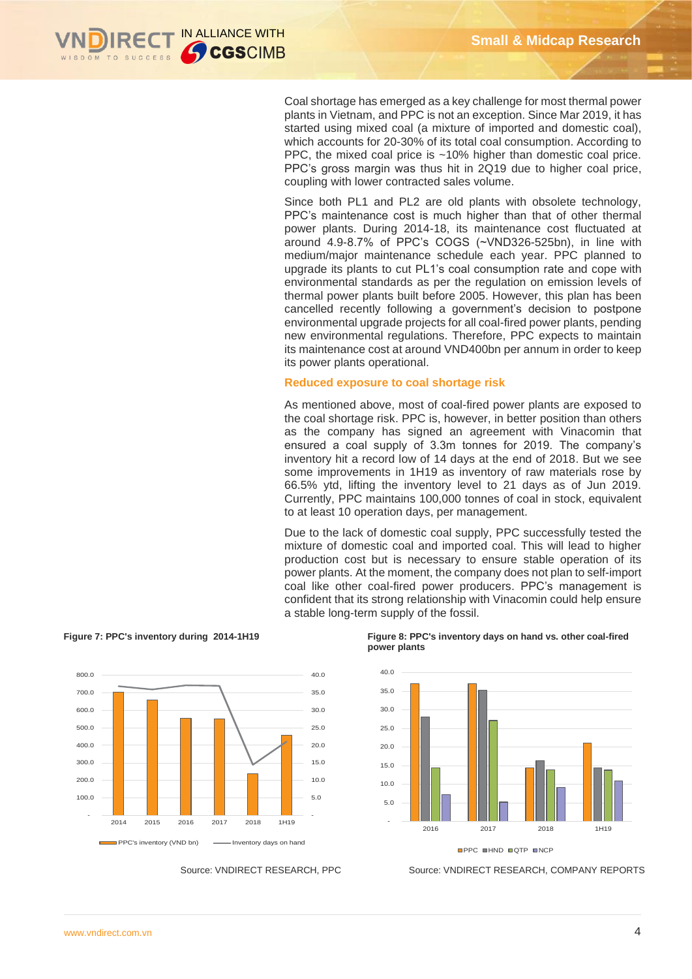

Coal shortage has emerged as a key challenge for most thermal power plants in Vietnam, and PPC is not an exception. Since Mar 2019, it has started using mixed coal (a mixture of imported and domestic coal), which accounts for 20-30% of its total coal consumption. According to PPC, the mixed coal price is ~10% higher than domestic coal price. PPC's gross margin was thus hit in 2Q19 due to higher coal price, coupling with lower contracted sales volume.

Since both PL1 and PL2 are old plants with obsolete technology, PPC's maintenance cost is much higher than that of other thermal power plants. During 2014-18, its maintenance cost fluctuated at around 4.9-8.7% of PPC's COGS (~VND326-525bn), in line with medium/major maintenance schedule each year. PPC planned to upgrade its plants to cut PL1's coal consumption rate and cope with environmental standards as per the regulation on emission levels of thermal power plants built before 2005. However, this plan has been cancelled recently following a government's decision to postpone environmental upgrade projects for all coal-fired power plants, pending new environmental regulations. Therefore, PPC expects to maintain its maintenance cost at around VND400bn per annum in order to keep its power plants operational.

#### **Reduced exposure to coal shortage risk**

As mentioned above, most of coal-fired power plants are exposed to the coal shortage risk. PPC is, however, in better position than others as the company has signed an agreement with Vinacomin that ensured a coal supply of 3.3m tonnes for 2019. The company's inventory hit a record low of 14 days at the end of 2018. But we see some improvements in 1H19 as inventory of raw materials rose by 66.5% ytd, lifting the inventory level to 21 days as of Jun 2019. Currently, PPC maintains 100,000 tonnes of coal in stock, equivalent to at least 10 operation days, per management.

Due to the lack of domestic coal supply, PPC successfully tested the mixture of domestic coal and imported coal. This will lead to higher production cost but is necessary to ensure stable operation of its power plants. At the moment, the company does not plan to self-import coal like other coal-fired power producers. PPC's management is confident that its strong relationship with Vinacomin could help ensure a stable long-term supply of the fossil.



#### **Figure 7: PPC's inventory during 2014-1H19 Figure 8: PPC's inventory days on hand vs. other coal-fired power plants**



Source: VNDIRECT RESEARCH, PPC Source: VNDIRECT RESEARCH, COMPANY REPORTS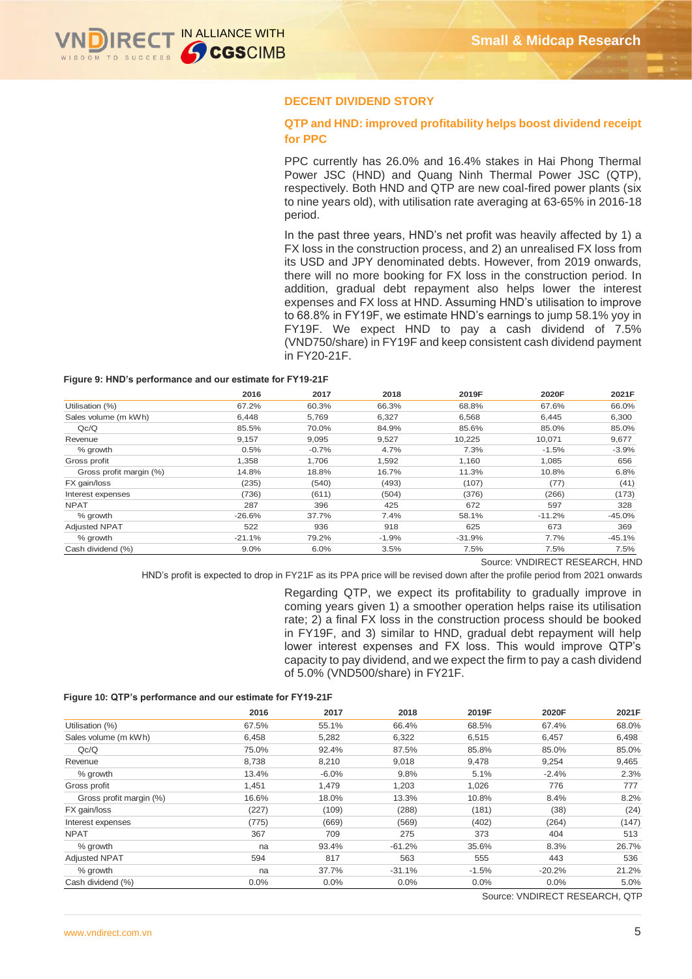

#### **DECENT DIVIDEND STORY**

#### **QTP and HND: improved profitability helps boost dividend receipt for PPC**

PPC currently has 26.0% and 16.4% stakes in Hai Phong Thermal Power JSC (HND) and Quang Ninh Thermal Power JSC (QTP), respectively. Both HND and QTP are new coal-fired power plants (six to nine years old), with utilisation rate averaging at 63-65% in 2016-18 period.

In the past three years, HND's net profit was heavily affected by 1) a FX loss in the construction process, and 2) an unrealised FX loss from its USD and JPY denominated debts. However, from 2019 onwards, there will no more booking for FX loss in the construction period. In addition, gradual debt repayment also helps lower the interest expenses and FX loss at HND. Assuming HND's utilisation to improve to 68.8% in FY19F, we estimate HND's earnings to jump 58.1% yoy in FY19F. We expect HND to pay a cash dividend of 7.5% (VND750/share) in FY19F and keep consistent cash dividend payment in FY20-21F.

#### **Figure 9: HND's performance and our estimate for FY19-21F**

|                         | 2016     | 2017    | 2018    | 2019F    | 2020F    | 2021F    |
|-------------------------|----------|---------|---------|----------|----------|----------|
| Utilisation (%)         | 67.2%    | 60.3%   | 66.3%   | 68.8%    | 67.6%    | 66.0%    |
| Sales volume (m kWh)    | 6.448    | 5,769   | 6,327   | 6,568    | 6.445    | 6,300    |
| Qc/Q                    | 85.5%    | 70.0%   | 84.9%   | 85.6%    | 85.0%    | 85.0%    |
| Revenue                 | 9.157    | 9,095   | 9,527   | 10,225   | 10,071   | 9,677    |
| % growth                | 0.5%     | $-0.7%$ | 4.7%    | 7.3%     | $-1.5%$  | $-3.9%$  |
| Gross profit            | 1,358    | 1,706   | 1,592   | 1,160    | 1,085    | 656      |
| Gross profit margin (%) | 14.8%    | 18.8%   | 16.7%   | 11.3%    | 10.8%    | 6.8%     |
| FX gain/loss            | (235)    | (540)   | (493)   | (107)    | (77)     | (41)     |
| Interest expenses       | (736)    | (611)   | (504)   | (376)    | (266)    | (173)    |
| <b>NPAT</b>             | 287      | 396     | 425     | 672      | 597      | 328      |
| % growth                | $-26.6%$ | 37.7%   | 7.4%    | 58.1%    | $-11.2%$ | $-45.0%$ |
| <b>Adjusted NPAT</b>    | 522      | 936     | 918     | 625      | 673      | 369      |
| % growth                | $-21.1%$ | 79.2%   | $-1.9%$ | $-31.9%$ | 7.7%     | $-45.1%$ |
| Cash dividend (%)       | $9.0\%$  | 6.0%    | 3.5%    | 7.5%     | 7.5%     | 7.5%     |

#### **Figure 10: QTP's performance and our estimate for FY19-21F**

|                                                            | 2016     | 2017                                                                  | 2018                             | 2019F                                                                                                                                                                                                         | 2020F    | 2021F    |
|------------------------------------------------------------|----------|-----------------------------------------------------------------------|----------------------------------|---------------------------------------------------------------------------------------------------------------------------------------------------------------------------------------------------------------|----------|----------|
| Utilisation (%)                                            | 67.2%    | 60.3%                                                                 | 66.3%                            | 68.8%                                                                                                                                                                                                         | 67.6%    | 66.0%    |
| Sales volume (m kWh)                                       | 6,448    | 5,769                                                                 | 6,327                            | 6,568                                                                                                                                                                                                         | 6,445    | 6,300    |
| Qc/Q                                                       | 85.5%    | 70.0%                                                                 | 84.9%                            | 85.6%                                                                                                                                                                                                         | 85.0%    | 85.0%    |
| Revenue                                                    | 9,157    | 9,095                                                                 | 9,527                            | 10,225                                                                                                                                                                                                        | 10,071   | 9,677    |
| % growth                                                   | 0.5%     | $-0.7%$                                                               | 4.7%                             | 7.3%                                                                                                                                                                                                          | $-1.5%$  | $-3.9%$  |
| Gross profit                                               | 1,358    | 1,706                                                                 | 1,592                            | 1,160                                                                                                                                                                                                         | 1,085    | 656      |
| Gross profit margin (%)                                    | 14.8%    | 18.8%                                                                 | 16.7%                            | 11.3%                                                                                                                                                                                                         | 10.8%    | 6.8%     |
| FX gain/loss                                               | (235)    | (540)                                                                 | (493)                            | (107)                                                                                                                                                                                                         | (77)     | (41)     |
| Interest expenses                                          | (736)    | (611)                                                                 | (504)                            | (376)                                                                                                                                                                                                         | (266)    | (173)    |
| <b>NPAT</b>                                                | 287      | 396                                                                   | 425                              | 672                                                                                                                                                                                                           | 597      | 328      |
| % growth                                                   | $-26.6%$ | 37.7%                                                                 | 7.4%                             | 58.1%                                                                                                                                                                                                         | $-11.2%$ | $-45.0%$ |
| <b>Adjusted NPAT</b>                                       | 522      | 936                                                                   | 918                              | 625                                                                                                                                                                                                           | 673      | 369      |
| % growth                                                   | $-21.1%$ | 79.2%                                                                 | $-1.9%$                          | $-31.9%$                                                                                                                                                                                                      | 7.7%     | $-45.1%$ |
| Cash dividend (%)                                          | 9.0%     | 6.0%                                                                  | 3.5%                             | 7.5%                                                                                                                                                                                                          | 7.5%     | 7.5%     |
|                                                            |          |                                                                       |                                  | Regarding QTP, we expect its profitability to gradually improve in<br>coming years given 1) a smoother operation helps raise its utilisation                                                                  |          |          |
| Figure 10: QTP's performance and our estimate for FY19-21F |          | rate; 2) a final FX loss in the construction process should be booked | of 5.0% (VND500/share) in FY21F. | in FY19F, and 3) similar to HND, gradual debt repayment will help<br>lower interest expenses and FX loss. This would improve QTP's<br>capacity to pay dividend, and we expect the firm to pay a cash dividend |          |          |
|                                                            | 2016     | 2017                                                                  | 2018                             | 2019F                                                                                                                                                                                                         | 2020F    | 2021F    |
| Utilisation (%)                                            | 67.5%    | 55.1%                                                                 | 66.4%                            | 68.5%                                                                                                                                                                                                         | 67.4%    | 68.0%    |
| Sales volume (m kWh)                                       | 6,458    | 5,282                                                                 | 6,322                            | 6,515                                                                                                                                                                                                         | 6,457    | 6,498    |
| Qc/Q                                                       | 75.0%    | 92.4%                                                                 | 87.5%                            | 85.8%                                                                                                                                                                                                         | 85.0%    | 85.0%    |
| Revenue                                                    | 8,738    | 8,210                                                                 | 9,018                            | 9,478                                                                                                                                                                                                         | 9,254    | 9,465    |
| % growth                                                   | 13.4%    | $-6.0%$                                                               | 9.8%                             | 5.1%                                                                                                                                                                                                          | $-2.4%$  | 2.3%     |
| Gross profit                                               | 1,451    | 1,479                                                                 | 1,203                            | 1,026                                                                                                                                                                                                         | 776      | 777      |
| Gross profit margin (%)                                    | 16.6%    | 18.0%                                                                 | 13.3%                            | 10.8%                                                                                                                                                                                                         | 8.4%     | 8.2%     |
| FX gain/loss                                               | (227)    | (109)                                                                 | (288)                            | (181)                                                                                                                                                                                                         | (38)     | (24)     |
| Interest expenses                                          | (775)    | (669)                                                                 | (569)                            | (402)                                                                                                                                                                                                         | (264)    | (147)    |
| <b>NPAT</b>                                                | 367      | 709                                                                   | 275                              | 373                                                                                                                                                                                                           | 404      | 513      |
| % growth                                                   | na       | 93.4%                                                                 | $-61.2%$                         | 35.6%                                                                                                                                                                                                         | 8.3%     | 26.7%    |
| <b>Adjusted NPAT</b>                                       | 594      | 817                                                                   | 563                              | 555                                                                                                                                                                                                           | 443      | 536      |
| % growth                                                   | na       | 37.7%                                                                 | $-31.1%$                         | $-1.5%$                                                                                                                                                                                                       | $-20.2%$ | 21.2%    |
| Cash dividend (%)                                          | 0.0%     | 0.0%                                                                  | 0.0%                             | 0.0%                                                                                                                                                                                                          | 0.0%     | 5.0%     |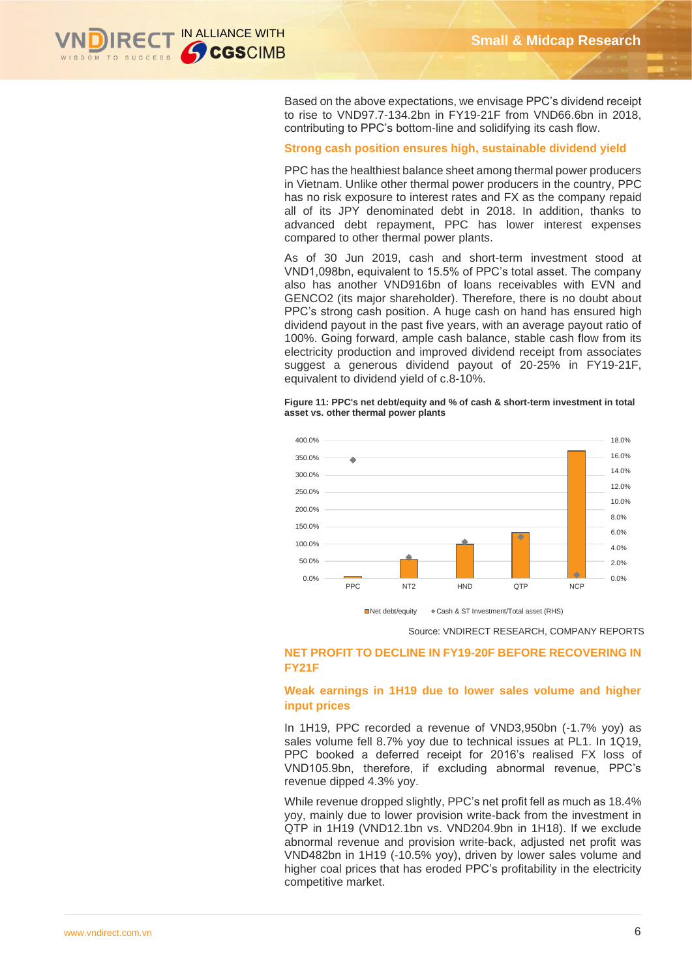

Based on the above expectations, we envisage PPC's dividend receipt to rise to VND97.7-134.2bn in FY19-21F from VND66.6bn in 2018, contributing to PPC's bottom-line and solidifying its cash flow.

#### **Strong cash position ensures high, sustainable dividend yield**

PPC has the healthiest balance sheet among thermal power producers in Vietnam. Unlike other thermal power producers in the country, PPC has no risk exposure to interest rates and FX as the company repaid all of its JPY denominated debt in 2018. In addition, thanks to advanced debt repayment, PPC has lower interest expenses compared to other thermal power plants.

As of 30 Jun 2019, cash and short-term investment stood at VND1,098bn, equivalent to 15.5% of PPC's total asset. The company also has another VND916bn of loans receivables with EVN and GENCO2 (its major shareholder). Therefore, there is no doubt about PPC's strong cash position. A huge cash on hand has ensured high dividend payout in the past five years, with an average payout ratio of 100%. Going forward, ample cash balance, stable cash flow from its electricity production and improved dividend receipt from associates suggest a generous dividend payout of 20-25% in FY19-21F, equivalent to dividend yield of c.8-10%.

**Figure 11: PPC's net debt/equity and % of cash & short-term investment in total asset vs. other thermal power plants**



Net debt/equity Cash & ST Investment/Total asset (RHS)

Source: VNDIRECT RESEARCH, COMPANY REPORTS

#### **NET PROFIT TO DECLINE IN FY19-20F BEFORE RECOVERING IN FY21F**

#### **Weak earnings in 1H19 due to lower sales volume and higher input prices**

In 1H19, PPC recorded a revenue of VND3,950bn (-1.7% yoy) as sales volume fell 8.7% yoy due to technical issues at PL1. In 1Q19, PPC booked a deferred receipt for 2016's realised FX loss of VND105.9bn, therefore, if excluding abnormal revenue, PPC's revenue dipped 4.3% yoy.

While revenue dropped slightly, PPC's net profit fell as much as 18.4% yoy, mainly due to lower provision write-back from the investment in QTP in 1H19 (VND12.1bn vs. VND204.9bn in 1H18). If we exclude abnormal revenue and provision write-back, adjusted net profit was VND482bn in 1H19 (-10.5% yoy), driven by lower sales volume and higher coal prices that has eroded PPC's profitability in the electricity competitive market.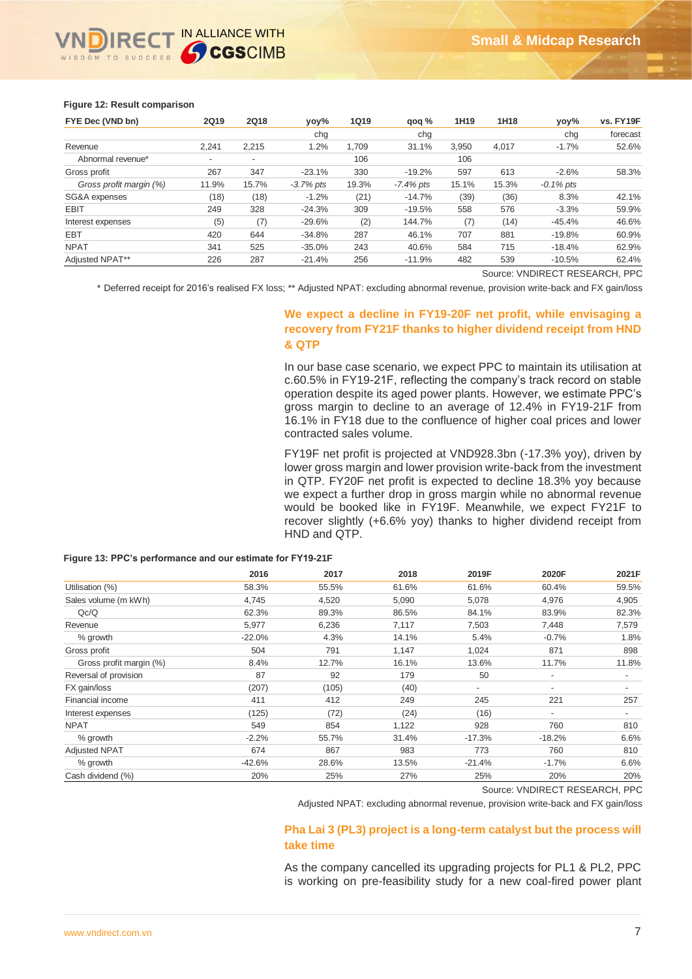# IN ALLIANCE WITH GCGSCIMB

#### **Figure 12: Result comparison**

| FYE Dec (VND bn)        | <b>2Q19</b>              | <b>2Q18</b>              | yoy%         | <b>1Q19</b> | qoq %        | 1H <sub>19</sub> | 1H18  | yoy%         | vs. FY19F |
|-------------------------|--------------------------|--------------------------|--------------|-------------|--------------|------------------|-------|--------------|-----------|
|                         |                          |                          | chq          |             | cha          |                  |       | chg          | forecast  |
| Revenue                 | 2,241                    | 2.215                    | 1.2%         | 1.709       | 31.1%        | 3.950            | 4.017 | $-1.7\%$     | 52.6%     |
| Abnormal revenue*       | $\overline{\phantom{a}}$ | $\overline{\phantom{a}}$ |              | 106         |              | 106              |       |              |           |
| Gross profit            | 267                      | 347                      | $-23.1%$     | 330         | $-19.2%$     | 597              | 613   | $-2.6%$      | 58.3%     |
| Gross profit margin (%) | 11.9%                    | 15.7%                    | $-3.7\%$ pts | 19.3%       | $-7.4\%$ pts | 15.1%            | 15.3% | $-0.1\%$ pts |           |
| SG&A expenses           | (18)                     | (18)                     | $-1.2%$      | (21)        | $-14.7%$     | (39)             | (36)  | 8.3%         | 42.1%     |
| <b>EBIT</b>             | 249                      | 328                      | $-24.3%$     | 309         | $-19.5%$     | 558              | 576   | $-3.3%$      | 59.9%     |
| Interest expenses       | (5)                      | (7)                      | $-29.6%$     | (2)         | 144.7%       | (7)              | (14)  | $-45.4%$     | 46.6%     |
| <b>EBT</b>              | 420                      | 644                      | $-34.8%$     | 287         | 46.1%        | 707              | 881   | $-19.8%$     | 60.9%     |
| <b>NPAT</b>             | 341                      | 525                      | $-35.0%$     | 243         | 40.6%        | 584              | 715   | $-18.4%$     | 62.9%     |
| Adjusted NPAT**         | 226                      | 287                      | $-21.4%$     | 256         | $-11.9%$     | 482              | 539   | $-10.5%$     | 62.4%     |

Source: VNDIRECT RESEARCH, PPC

\* Deferred receipt for 2016's realised FX loss; \*\* Adjusted NPAT: excluding abnormal revenue, provision write-back and FX gain/loss

#### **We expect a decline in FY19-20F net profit, while envisaging a recovery from FY21F thanks to higher dividend receipt from HND & QTP**

In our base case scenario, we expect PPC to maintain its utilisation at c.60.5% in FY19-21F, reflecting the company's track record on stable operation despite its aged power plants. However, we estimate PPC's gross margin to decline to an average of 12.4% in FY19-21F from 16.1% in FY18 due to the confluence of higher coal prices and lower contracted sales volume.

FY19F net profit is projected at VND928.3bn (-17.3% yoy), driven by lower gross margin and lower provision write-back from the investment in QTP. FY20F net profit is expected to decline 18.3% yoy because we expect a further drop in gross margin while no abnormal revenue would be booked like in FY19F. Meanwhile, we expect FY21F to recover slightly (+6.6% yoy) thanks to higher dividend receipt from HND and QTP.

|                         | 2016     | 2017  | 2018  | 2019F                    | 2020F                    | 2021F                    |
|-------------------------|----------|-------|-------|--------------------------|--------------------------|--------------------------|
| Utilisation (%)         | 58.3%    | 55.5% | 61.6% | 61.6%                    | 60.4%                    | 59.5%                    |
| Sales volume (m kWh)    | 4,745    | 4,520 | 5,090 | 5,078                    | 4,976                    | 4,905                    |
| Qc/Q                    | 62.3%    | 89.3% | 86.5% | 84.1%                    | 83.9%                    | 82.3%                    |
| Revenue                 | 5,977    | 6,236 | 7,117 | 7,503                    | 7,448                    | 7,579                    |
| % growth                | $-22.0%$ | 4.3%  | 14.1% | 5.4%                     | $-0.7%$                  | 1.8%                     |
| Gross profit            | 504      | 791   | 1,147 | 1,024                    | 871                      | 898                      |
| Gross profit margin (%) | 8.4%     | 12.7% | 16.1% | 13.6%                    | 11.7%                    | 11.8%                    |
| Reversal of provision   | 87       | 92    | 179   | 50                       | $\overline{\phantom{a}}$ | $\overline{\phantom{a}}$ |
| FX gain/loss            | (207)    | (105) | (40)  | $\overline{\phantom{a}}$ | $\overline{\phantom{a}}$ | $\overline{\phantom{a}}$ |
| Financial income        | 411      | 412   | 249   | 245                      | 221                      | 257                      |
| Interest expenses       | (125)    | (72)  | (24)  | (16)                     | $\overline{\phantom{a}}$ |                          |
| <b>NPAT</b>             | 549      | 854   | 1,122 | 928                      | 760                      | 810                      |
| % growth                | $-2.2%$  | 55.7% | 31.4% | $-17.3%$                 | $-18.2%$                 | 6.6%                     |
| <b>Adjusted NPAT</b>    | 674      | 867   | 983   | 773                      | 760                      | 810                      |
| % growth                | $-42.6%$ | 28.6% | 13.5% | $-21.4%$                 | $-1.7%$                  | 6.6%                     |
| Cash dividend (%)       | 20%      | 25%   | 27%   | 25%                      | 20%                      | 20%                      |

#### **Figure 13: PPC's performance and our estimate for FY19-21F**

Source: VNDIRECT RESEARCH, PPC

Adjusted NPAT: excluding abnormal revenue, provision write-back and FX gain/loss

#### **Pha Lai 3 (PL3) project is a long-term catalyst but the process will take time**

As the company cancelled its upgrading projects for PL1 & PL2, PPC is working on pre-feasibility study for a new coal-fired power plant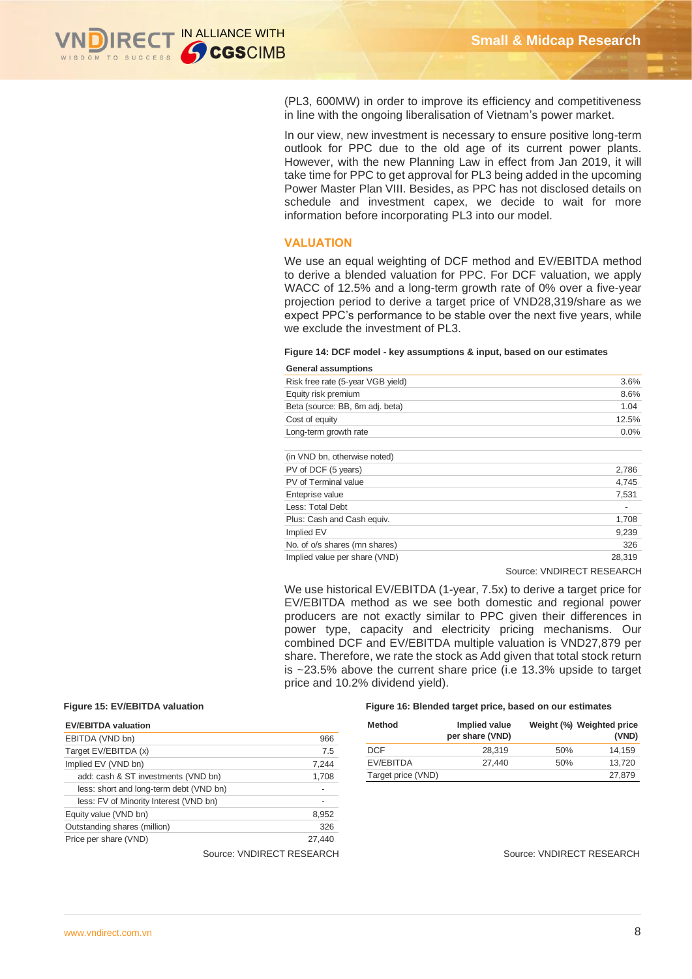

(PL3, 600MW) in order to improve its efficiency and competitiveness in line with the ongoing liberalisation of Vietnam's power market.

In our view, new investment is necessary to ensure positive long-term outlook for PPC due to the old age of its current power plants. However, with the new Planning Law in effect from Jan 2019, it will take time for PPC to get approval for PL3 being added in the upcoming Power Master Plan VIII. Besides, as PPC has not disclosed details on schedule and investment capex, we decide to wait for more information before incorporating PL3 into our model.

#### **VALUATION**

We use an equal weighting of DCF method and EV/EBITDA method to derive a blended valuation for PPC. For DCF valuation, we apply WACC of 12.5% and a long-term growth rate of 0% over a five-year projection period to derive a target price of VND28,319/share as we expect PPC's performance to be stable over the next five years, while we exclude the investment of PL3.

### **Figure 14: DCF model - key assumptions & input, based on our estimates**

| <b>General assumptions</b>        |        |
|-----------------------------------|--------|
| Risk free rate (5-year VGB yield) | 3.6%   |
| Equity risk premium               | 8.6%   |
| Beta (source: BB, 6m adj. beta)   | 1.04   |
| Cost of equity                    | 12.5%  |
| Long-term growth rate             | 0.0%   |
| (in VND bn, otherwise noted)      |        |
| PV of DCF (5 years)               | 2,786  |
| PV of Terminal value              | 4,745  |
| Enteprise value                   | 7,531  |
| Less: Total Debt                  |        |
| Plus: Cash and Cash equiv.        | 1,708  |
| Implied EV                        | 9,239  |
| No. of o/s shares (mn shares)     | 326    |
| Implied value per share (VND)     | 28,319 |
|                                   |        |

Source: VNDIRECT RESEARCH

We use historical EV/EBITDA (1-year, 7.5x) to derive a target price for EV/EBITDA method as we see both domestic and regional power producers are not exactly similar to PPC given their differences in power type, capacity and electricity pricing mechanisms. Our combined DCF and EV/EBITDA multiple valuation is VND27,879 per share. Therefore, we rate the stock as Add given that total stock return is ~23.5% above the current share price (i.e 13.3% upside to target price and 10.2% dividend yield).

| <b>EV/EBITDA valuation</b>              |        |
|-----------------------------------------|--------|
| EBITDA (VND bn)                         | 966    |
| Target EV/EBITDA (x)                    | 7.5    |
| Implied EV (VND bn)                     | 7,244  |
| add: cash & ST investments (VND bn)     | 1,708  |
| less: short and long-term debt (VND bn) |        |
| less: FV of Minority Interest (VND bn)  |        |
| Equity value (VND bn)                   | 8,952  |
| Outstanding shares (million)            | 326    |
| Price per share (VND)                   | 27.440 |

Source: VNDIRECT RESEARCH Source: VNDIRECT RESEARCH

#### **Figure 15: EV/EBITDA valuation Figure 16: Blended target price, based on our estimates**

| Method             | Implied value<br>per share (VND) |     | Weight (%) Weighted price<br>(VND) |
|--------------------|----------------------------------|-----|------------------------------------|
| DCF                | 28.319                           | 50% | 14.159                             |
| EV/EBITDA          | 27.440                           | 50% | 13.720                             |
| Target price (VND) |                                  |     | 27,879                             |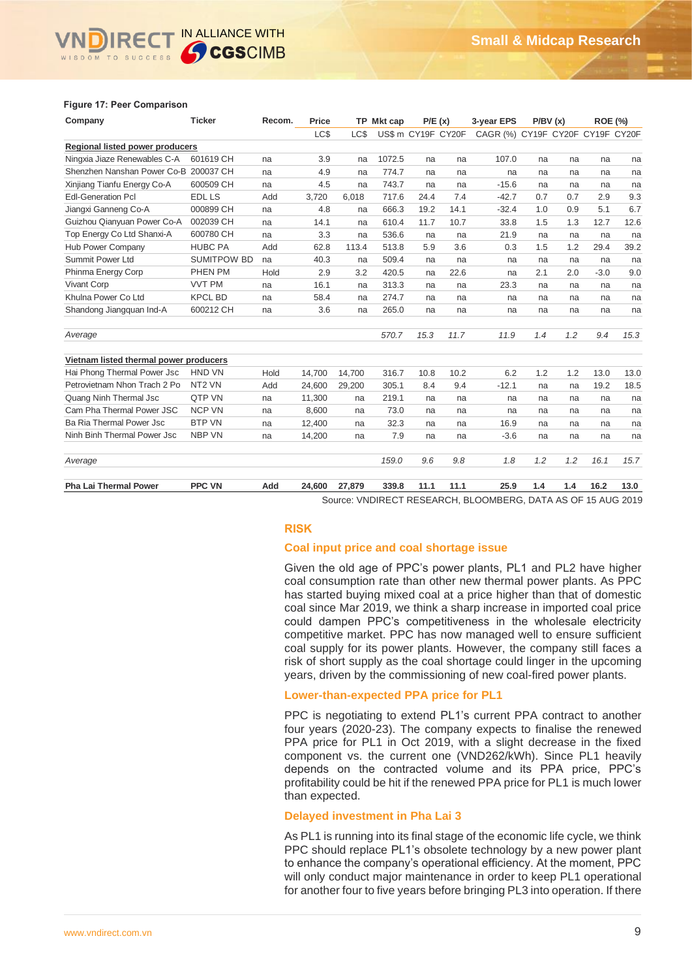# RECT IN ALLIANCE WITH **GCGSCIMB**

#### **Figure 17: Peer Comparison**

| Company                                | <b>Ticker</b>      | Recom. | Price  |        | TP Mkt cap |      | P/E(x)             | 3-year EPS                       | P/BV(x) |     | <b>ROE (%)</b> |      |
|----------------------------------------|--------------------|--------|--------|--------|------------|------|--------------------|----------------------------------|---------|-----|----------------|------|
|                                        |                    |        | LC\$   | LC\$   |            |      | US\$ m CY19F CY20F | CAGR (%) CY19F CY20F CY19F CY20F |         |     |                |      |
| Regional listed power producers        |                    |        |        |        |            |      |                    |                                  |         |     |                |      |
| Ningxia Jiaze Renewables C-A           | 601619 CH          | na     | 3.9    | na     | 1072.5     | na   | na                 | 107.0                            | na      | na  | na             | na   |
| Shenzhen Nanshan Power Co-B 200037 CH  |                    | na     | 4.9    | na     | 774.7      | na   | na                 | na                               | na      | na  | na             | na   |
| Xinjiang Tianfu Energy Co-A            | 600509 CH          | na     | 4.5    | na     | 743.7      | na   | na                 | $-15.6$                          | na      | na  | na             | na   |
| <b>Edl-Generation Pcl</b>              | <b>EDL LS</b>      | Add    | 3,720  | 6,018  | 717.6      | 24.4 | 7.4                | $-42.7$                          | 0.7     | 0.7 | 2.9            | 9.3  |
| Jiangxi Ganneng Co-A                   | 000899 CH          | na     | 4.8    | na     | 666.3      | 19.2 | 14.1               | $-32.4$                          | 1.0     | 0.9 | 5.1            | 6.7  |
| Guizhou Qianyuan Power Co-A            | 002039 CH          | na     | 14.1   | na     | 610.4      | 11.7 | 10.7               | 33.8                             | 1.5     | 1.3 | 12.7           | 12.6 |
| Top Energy Co Ltd Shanxi-A             | 600780 CH          | na     | 3.3    | na     | 536.6      | na   | na                 | 21.9                             | na      | na  | na             | na   |
| Hub Power Company                      | <b>HUBC PA</b>     | Add    | 62.8   | 113.4  | 513.8      | 5.9  | 3.6                | 0.3                              | 1.5     | 1.2 | 29.4           | 39.2 |
| Summit Power Ltd                       | <b>SUMITPOW BD</b> | na     | 40.3   | na     | 509.4      | na   | na                 | na                               | na      | na  | na             | na   |
| Phinma Energy Corp                     | PHEN PM            | Hold   | 2.9    | 3.2    | 420.5      | na   | 22.6               | na                               | 2.1     | 2.0 | $-3.0$         | 9.0  |
| <b>Vivant Corp</b>                     | <b>VVT PM</b>      | na     | 16.1   | na     | 313.3      | na   | na                 | 23.3                             | na      | na  | na             | na   |
| Khulna Power Co Ltd                    | <b>KPCL BD</b>     | na     | 58.4   | na     | 274.7      | na   | na                 | na                               | na      | na  | na             | na   |
| Shandong Jiangquan Ind-A               | 600212 CH          | na     | 3.6    | na     | 265.0      | na   | na                 | na                               | na      | na  | na             | na   |
| Average                                |                    |        |        |        | 570.7      | 15.3 | 11.7               | 11.9                             | 1.4     | 1.2 | 9.4            | 15.3 |
| Vietnam listed thermal power producers |                    |        |        |        |            |      |                    |                                  |         |     |                |      |
| Hai Phong Thermal Power Jsc            | <b>HND VN</b>      | Hold   | 14.700 | 14,700 | 316.7      | 10.8 | 10.2               | 6.2                              | 1.2     | 1.2 | 13.0           | 13.0 |
| Petrovietnam Nhon Trach 2 Po           | NT <sub>2</sub> VN | Add    | 24.600 | 29,200 | 305.1      | 8.4  | 9.4                | $-12.1$                          | na      | na  | 19.2           | 18.5 |
| Quang Ninh Thermal Jsc                 | QTP VN             | na     | 11,300 | na     | 219.1      | na   | na                 | na                               | na      | na  | na             | na   |
| Cam Pha Thermal Power JSC              | <b>NCP VN</b>      | na     | 8,600  | na     | 73.0       | na   | na                 | na                               | na      | na  | na             | na   |
| Ba Ria Thermal Power Jsc               | <b>BTP VN</b>      | na     | 12,400 | na     | 32.3       | na   | na                 | 16.9                             | na      | na  | na             | na   |
| Ninh Binh Thermal Power Jsc            | <b>NBP VN</b>      | na     | 14,200 | na     | 7.9        | na   | na                 | $-3.6$                           | na      | na  | na             | na   |
| Average                                |                    |        |        |        | 159.0      | 9.6  | 9.8                | 1.8                              | 1.2     | 1.2 | 16.1           | 15.7 |
| <b>Pha Lai Thermal Power</b>           | <b>PPC VN</b>      | Add    | 24,600 | 27,879 | 339.8      | 11.1 | 11.1               | 25.9                             | 1.4     | 1.4 | 16.2           | 13.0 |

Source: VNDIRECT RESEARCH, BLOOMBERG, DATA AS OF 15 AUG 2019

### **RISK**

#### **Coal input price and coal shortage issue**

Given the old age of PPC's power plants, PL1 and PL2 have higher coal consumption rate than other new thermal power plants. As PPC has started buying mixed coal at a price higher than that of domestic coal since Mar 2019, we think a sharp increase in imported coal price could dampen PPC's competitiveness in the wholesale electricity competitive market. PPC has now managed well to ensure sufficient coal supply for its power plants. However, the company still faces a risk of short supply as the coal shortage could linger in the upcoming years, driven by the commissioning of new coal-fired power plants.

#### **Lower-than-expected PPA price for PL1**

PPC is negotiating to extend PL1's current PPA contract to another four years (2020-23). The company expects to finalise the renewed PPA price for PL1 in Oct 2019, with a slight decrease in the fixed component vs. the current one (VND262/kWh). Since PL1 heavily depends on the contracted volume and its PPA price, PPC's profitability could be hit if the renewed PPA price for PL1 is much lower than expected.

#### **Delayed investment in Pha Lai 3**

As PL1 is running into its final stage of the economic life cycle, we think PPC should replace PL1's obsolete technology by a new power plant to enhance the company's operational efficiency. At the moment, PPC will only conduct major maintenance in order to keep PL1 operational for another four to five years before bringing PL3 into operation. If there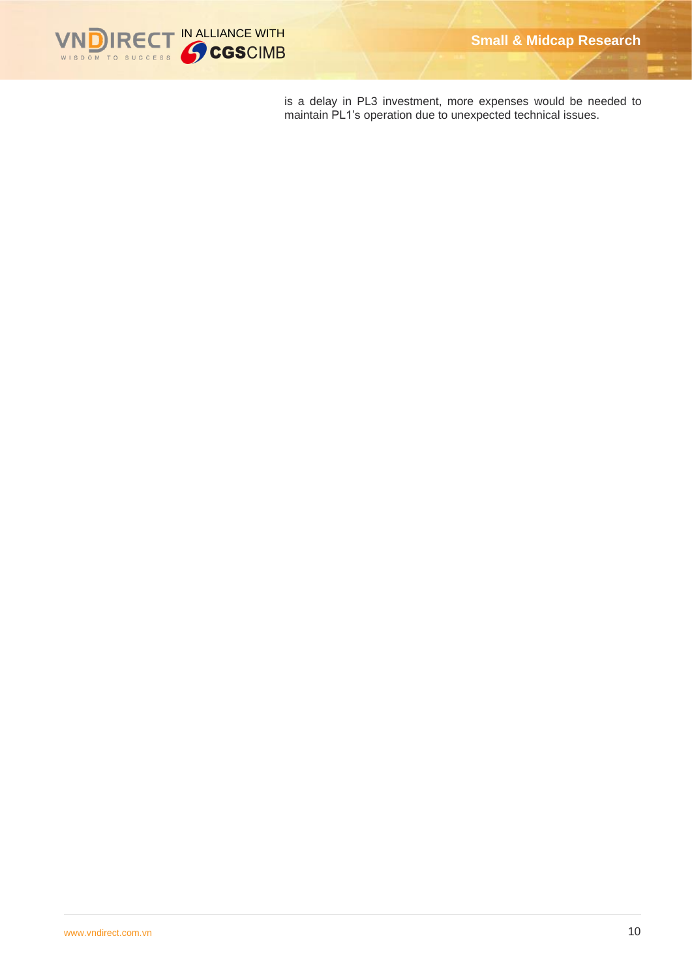

is a delay in PL3 investment, more expenses would be needed to maintain PL1's operation due to unexpected technical issues.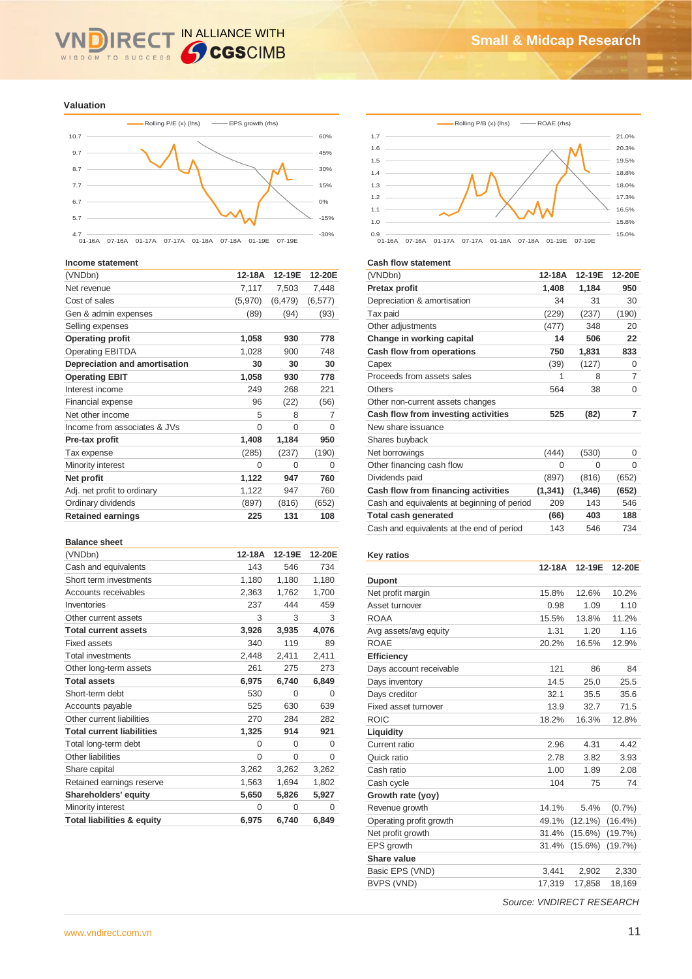#### IN ALLIANCE WITH **IRE** WISDOM TO SUCCESS

#### **Valuation**



#### **Income statement**

| (VNDbn)                       | 12-18A  | 12-19E   | 12-20E         |
|-------------------------------|---------|----------|----------------|
| Net revenue                   | 7,117   | 7,503    | 7,448          |
| Cost of sales                 | (5,970) | (6, 479) | (6, 577)       |
| Gen & admin expenses          | (89)    | (94)     | (93)           |
| Selling expenses              |         |          |                |
| <b>Operating profit</b>       | 1,058   | 930      | 778            |
| <b>Operating EBITDA</b>       | 1,028   | 900      | 748            |
| Depreciation and amortisation | 30      | 30       | 30             |
| <b>Operating EBIT</b>         | 1,058   | 930      | 778            |
| Interest income               | 249     | 268      | 221            |
| <b>Financial expense</b>      | 96      | (22)     | (56)           |
| Net other income              | 5       | 8        | $\overline{7}$ |
| Income from associates & JVs  | 0       | $\Omega$ | $\Omega$       |
| Pre-tax profit                | 1,408   | 1,184    | 950            |
| Tax expense                   | (285)   | (237)    | (190)          |
| Minority interest             | 0       | 0        | 0              |
| Net profit                    | 1,122   | 947      | 760            |
| Adj. net profit to ordinary   | 1,122   | 947      | 760            |
| Ordinary dividends            | (897)   | (816)    | (652)          |
| <b>Retained earnings</b>      | 225     | 131      | 108            |

#### **Balance sheet**

| (VNDbn)                               | 12-18A | 12-19E   | 12-20E   |
|---------------------------------------|--------|----------|----------|
| Cash and equivalents                  | 143    | 546      | 734      |
| Short term investments                | 1,180  | 1,180    | 1,180    |
| Accounts receivables                  | 2,363  | 1,762    | 1,700    |
| Inventories                           | 237    | 444      | 459      |
| Other current assets                  | 3      | 3        | 3        |
| <b>Total current assets</b>           | 3,926  | 3,935    | 4,076    |
| <b>Fixed assets</b>                   | 340    | 119      | 89       |
| <b>Total investments</b>              | 2,448  | 2,411    | 2,411    |
| Other long-term assets                | 261    | 275      | 273      |
| <b>Total assets</b>                   | 6,975  | 6,740    | 6,849    |
| Short-term debt                       | 530    | $\Omega$ | $\Omega$ |
| Accounts payable                      | 525    | 630      | 639      |
| Other current liabilities             | 270    | 284      | 282      |
| <b>Total current liabilities</b>      | 1,325  | 914      | 921      |
| Total long-term debt                  | 0      | 0        | $\Omega$ |
| Other liabilities                     | 0      | 0        | $\Omega$ |
| Share capital                         | 3,262  | 3,262    | 3,262    |
| Retained earnings reserve             | 1,563  | 1,694    | 1,802    |
| Shareholders' equity                  | 5,650  | 5,826    | 5,927    |
| Minority interest                     | 0      | 0        | 0        |
| <b>Total liabilities &amp; equity</b> | 6,975  | 6,740    | 6,849    |





#### **Cash flow statement**

| (VNDbn)                                     | 12-18A   | 12-19E   | 12-20E   |
|---------------------------------------------|----------|----------|----------|
| Pretax profit                               | 1,408    | 1,184    | 950      |
| Depreciation & amortisation                 | 34       | 31       | 30       |
| Tax paid                                    | (229)    | (237)    | (190)    |
| Other adjustments                           | (477)    | 348      | 20       |
| Change in working capital                   | 14       | 506      | 22       |
| Cash flow from operations                   | 750      | 1,831    | 833      |
| Capex                                       | (39)     | (127)    | $\Omega$ |
| Proceeds from assets sales                  | 1        | 8        | 7        |
| Others                                      | 564      | 38       | 0        |
| Other non-current assets changes            |          |          |          |
| Cash flow from investing activities         | 525      | (82)     | 7        |
| New share issuance                          |          |          |          |
| Shares buyback                              |          |          |          |
| Net borrowings                              | (444)    | (530)    | 0        |
| Other financing cash flow                   | $\Omega$ | 0        | 0        |
| Dividends paid                              | (897)    | (816)    | (652)    |
| Cash flow from financing activities         | (1, 341) | (1, 346) | (652)    |
| Cash and equivalents at beginning of period | 209      | 143      | 546      |
| <b>Total cash generated</b>                 | (66)     | 403      | 188      |
| Cash and equivalents at the end of period   | 143      | 546      | 734      |
|                                             |          |          |          |

#### **Key ratios**

|                         | 12-18A | 12-19E     | 12-20E     |
|-------------------------|--------|------------|------------|
| <b>Dupont</b>           |        |            |            |
| Net profit margin       | 15.8%  | 12.6%      | 10.2%      |
| Asset turnover          | 0.98   | 1.09       | 1.10       |
| ROAA                    | 15.5%  | 13.8%      | 11.2%      |
| Avg assets/avg equity   | 1.31   | 1.20       | 1.16       |
| <b>ROAE</b>             | 20.2%  | 16.5%      | 12.9%      |
| <b>Efficiency</b>       |        |            |            |
| Days account receivable | 121    | 86         | 84         |
| Days inventory          | 14.5   | 25.0       | 25.5       |
| Days creditor           | 32.1   | 35.5       | 35.6       |
| Fixed asset turnover    | 13.9   | 32.7       | 71.5       |
| <b>ROIC</b>             | 18.2%  | 16.3%      | 12.8%      |
| Liquidity               |        |            |            |
| Current ratio           | 2.96   | 4.31       | 4.42       |
| Quick ratio             | 2.78   | 3.82       | 3.93       |
| Cash ratio              | 1.00   | 1.89       | 2.08       |
| Cash cycle              | 104    | 75         | 74         |
| Growth rate (yoy)       |        |            |            |
| Revenue growth          | 14.1%  | 5.4%       | (0.7%      |
| Operating profit growth | 49.1%  | $(12.1\%)$ | $(16.4\%)$ |
| Net profit growth       | 31.4%  | $(15.6\%)$ | (19.7%)    |
| EPS growth              | 31.4%  | $(15.6\%)$ | (19.7%)    |
| Share value             |        |            |            |
| Basic EPS (VND)         | 3,441  | 2,902      | 2,330      |
| BVPS (VND)              | 17,319 | 17,858     | 18,169     |
|                         |        |            |            |

*Source: VNDIRECT RESEARCH*